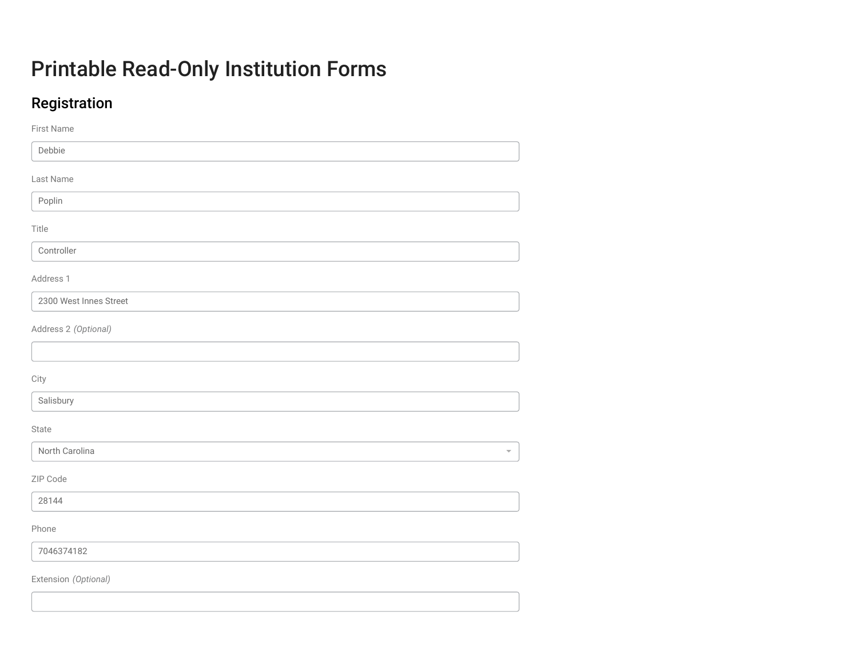# Printable Read-Only Institution Forms

# Registration

| First Name                                |
|-------------------------------------------|
| Debbie                                    |
| Last Name                                 |
| Poplin                                    |
| Title                                     |
| Controller                                |
| Address 1                                 |
| 2300 West Innes Street                    |
| Address 2 (Optional)                      |
|                                           |
| City                                      |
| Salisbury                                 |
| State                                     |
| North Carolina<br>$\overline{\mathbf{v}}$ |
| ZIP Code                                  |
| 28144                                     |
| Phone                                     |
| 7046374182                                |
| Extension (Optional)                      |
|                                           |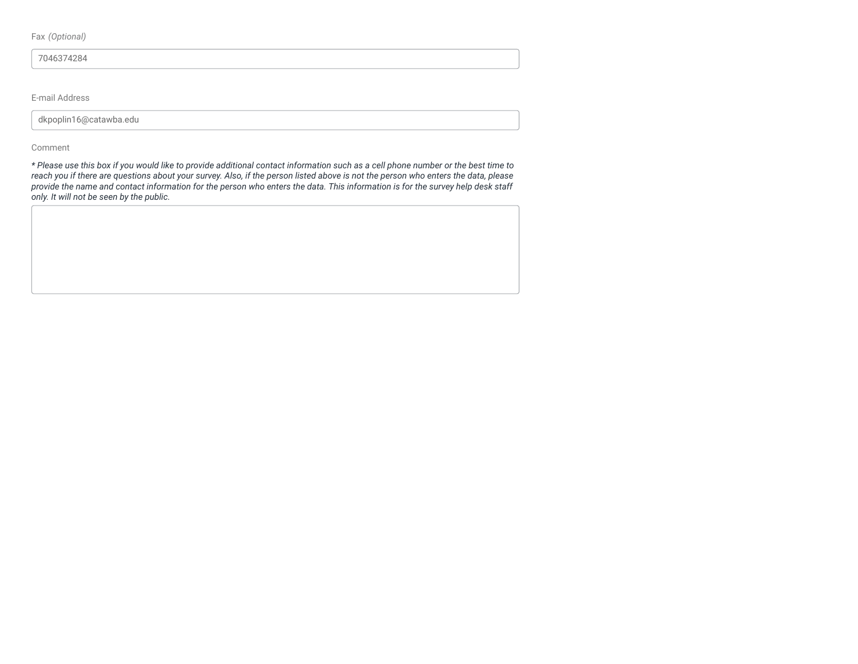Fax *(Optional)*

7046374284

E-mail Address

dkpoplin16@catawba.edu

#### Comment

*\* Please use this box if you would like to provide additional contact information such as a cell phone number or the best time to reach you if there are questions about your survey. Also, if the person listed above is not the person who enters the data, please provide the name and contact information for the person who enters the data. This information is for the survey help desk staff only. It will not be seen by the public.*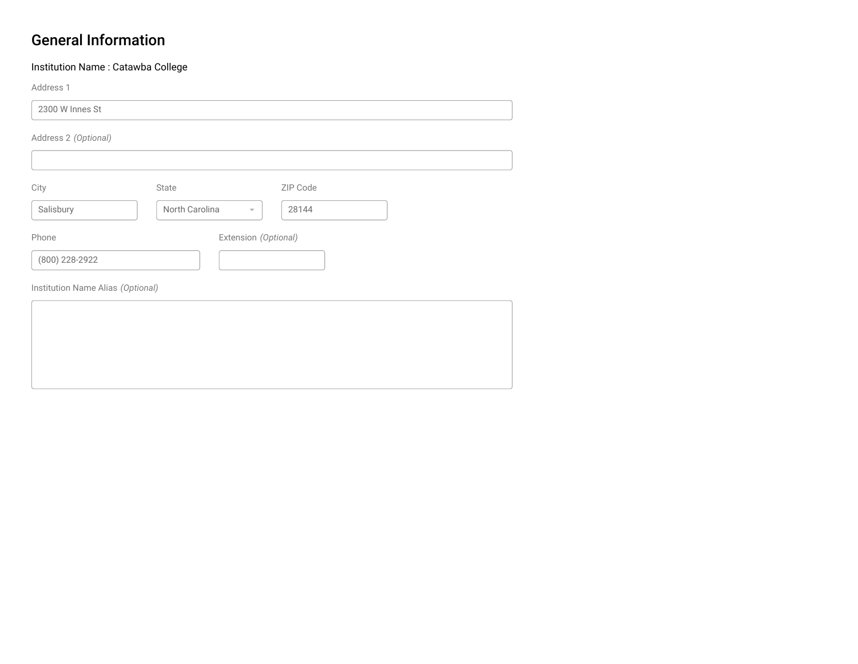### General Information

### Institution Name : Catawba College

Address 1

2300 W Innes St

Address 2 *(Optional)*

| City           | State          | ZIP Code                         |  |
|----------------|----------------|----------------------------------|--|
| Salisbury      | North Carolina | 28144<br>$\overline{\mathbf{v}}$ |  |
| Phone          |                | Extension (Optional)             |  |
| (800) 228-2922 |                |                                  |  |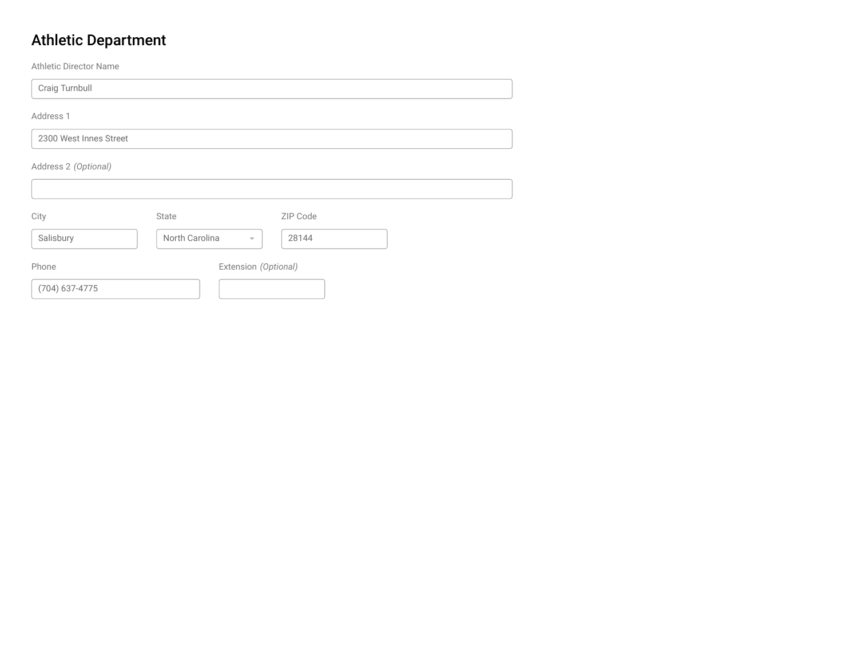# Athletic Department

Athletic Director Name

Craig Turnbull

Address 1

2300 West Innes Street

Address 2 *(Optional)*

| City             | State          |                         | ZIP Code |  |
|------------------|----------------|-------------------------|----------|--|
| Salisbury        | North Carolina | $\overline{\mathbf{v}}$ | 28144    |  |
| Phone            |                | Extension (Optional)    |          |  |
| $(704)$ 637-4775 |                |                         |          |  |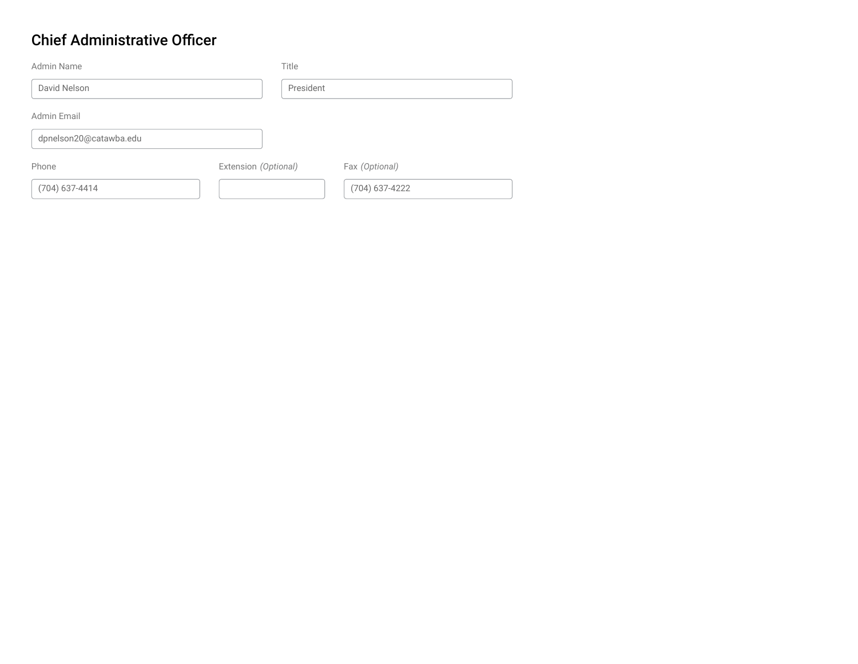### Chief Administrative Officer

| Admin Name             | Title                |                  |  |
|------------------------|----------------------|------------------|--|
| David Nelson           | President            |                  |  |
| Admin Email            |                      |                  |  |
| dpnelson20@catawba.edu |                      |                  |  |
| Phone                  | Extension (Optional) | Fax (Optional)   |  |
| $(704)$ 637-4414       |                      | $(704)$ 637-4222 |  |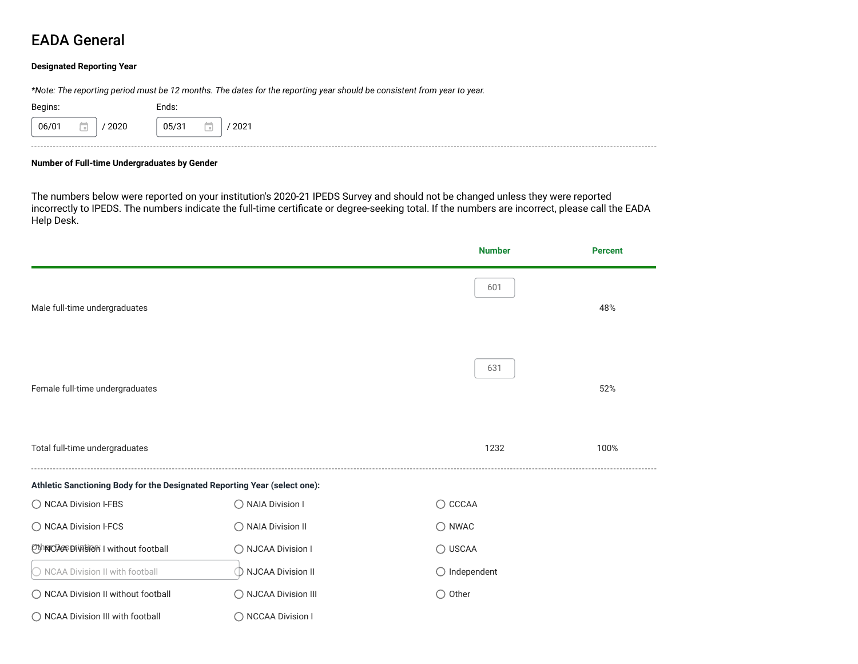### EADA General

#### **Designated Reporting Year**

*\*Note: The reporting period must be 12 months. The dates for the reporting year should be consistent from year to year.*

| Begins:       | Ends:<br>$\sim$ $\sim$ |
|---------------|------------------------|
| 2020<br>06/01 | 05/31<br>$2021$<br>m   |

#### **Number of Full-time Undergraduates by Gender**

The numbers below were reported on your institution's 2020-21 IPEDS Survey and should not be changed unless they were reported incorrectly to IPEDS. The numbers indicate the full-time certificate or degree-seeking total. If the numbers are incorrect, please call the EADA Help Desk.

|                                                                           |                      | <b>Number</b>          | <b>Percent</b> |
|---------------------------------------------------------------------------|----------------------|------------------------|----------------|
| Male full-time undergraduates                                             |                      | 601                    | 48%            |
| Female full-time undergraduates                                           |                      | 631                    | 52%            |
| Total full-time undergraduates                                            |                      | 1232                   | 100%           |
| Athletic Sanctioning Body for the Designated Reporting Year (select one): |                      |                        |                |
| ◯ NCAA Division I-FBS                                                     | ◯ NAIA Division I    | $\bigcirc$ CCCAA       |                |
| ◯ NCAA Division I-FCS                                                     | ◯ NAIA Division II   | $\bigcirc$ NWAC        |                |
| OthNOA&Division I without football                                        | ◯ NJCAA Division I   | ◯ USCAA                |                |
| O NCAA Division II with football                                          | ◯ NJCAA Division II  | $\bigcirc$ Independent |                |
| ◯ NCAA Division II without football                                       | ◯ NJCAA Division III | $\bigcirc$ Other       |                |
| ◯ NCAA Division III with football                                         | ◯ NCCAA Division I   |                        |                |